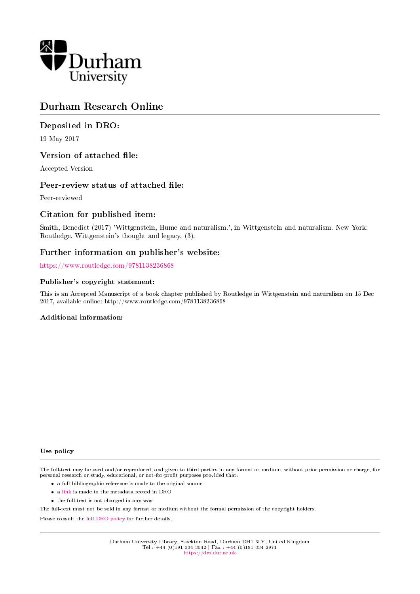

# Durham Research Online

# Deposited in DRO:

19 May 2017

# Version of attached file:

Accepted Version

# Peer-review status of attached file:

Peer-reviewed

# Citation for published item:

Smith, Benedict (2017) 'Wittgenstein, Hume and naturalism.', in Wittgenstein and naturalism. New York: Routledge. Wittgenstein's thought and legacy. (3).

# Further information on publisher's website:

<https://www.routledge.com/9781138236868>

### Publisher's copyright statement:

This is an Accepted Manuscript of a book chapter published by Routledge in Wittgenstein and naturalism on 15 Dec 2017, available online: http://www.routledge.com/9781138236868

### Additional information:

#### Use policy

The full-text may be used and/or reproduced, and given to third parties in any format or medium, without prior permission or charge, for personal research or study, educational, or not-for-profit purposes provided that:

- a full bibliographic reference is made to the original source
- a [link](http://dro.dur.ac.uk/21846/) is made to the metadata record in DRO
- the full-text is not changed in any way

The full-text must not be sold in any format or medium without the formal permission of the copyright holders.

Please consult the [full DRO policy](https://dro.dur.ac.uk/policies/usepolicy.pdf) for further details.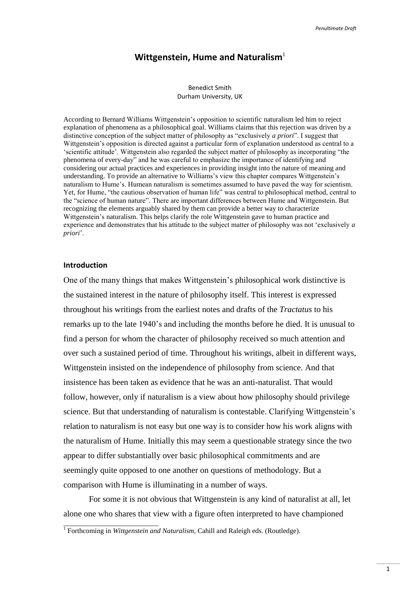# **Wittgenstein, Hume and Naturalism**<sup>1</sup>

### Benedict Smith Durham University, UK

According to Bernard Williams Wittgenstein's opposition to scientific naturalism led him to reject explanation of phenomena as a philosophical goal. Williams claims that this rejection was driven by a distinctive conception of the subject matter of philosophy as "exclusively *a priori*". I suggest that Wittgenstein's opposition is directed against a particular form of explanation understood as central to a 'scientific attitude'. Wittgenstein also regarded the subject matter of philosophy as incorporating "the phenomena of every-day" and he was careful to emphasize the importance of identifying and considering our actual practices and experiences in providing insight into the nature of meaning and understanding. To provide an alternative to Williams's view this chapter compares Wittgenstein's naturalism to Hume's. Humean naturalism is sometimes assumed to have paved the way for scientism. Yet, for Hume, "the cautious observation of human life" was central to philosophical method, central to the "science of human nature". There are important differences between Hume and Wittgenstein. But recognizing the elements arguably shared by them can provide a better way to characterize Wittgenstein's naturalism. This helps clarify the role Wittgenstein gave to human practice and experience and demonstrates that his attitude to the subject matter of philosophy was not 'exclusively *a priori*'.

#### **Introduction**

One of the many things that makes Wittgenstein's philosophical work distinctive is the sustained interest in the nature of philosophy itself. This interest is expressed throughout his writings from the earliest notes and drafts of the *Tractatus* to his remarks up to the late 1940's and including the months before he died. It is unusual to find a person for whom the character of philosophy received so much attention and over such a sustained period of time. Throughout his writings, albeit in different ways, Wittgenstein insisted on the independence of philosophy from science. And that insistence has been taken as evidence that he was an anti-naturalist. That would follow, however, only if naturalism is a view about how philosophy should privilege science. But that understanding of naturalism is contestable. Clarifying Wittgenstein's relation to naturalism is not easy but one way is to consider how his work aligns with the naturalism of Hume. Initially this may seem a questionable strategy since the two appear to differ substantially over basic philosophical commitments and are seemingly quite opposed to one another on questions of methodology. But a comparison with Hume is illuminating in a number of ways.

For some it is not obvious that Wittgenstein is any kind of naturalist at all, let alone one who shares that view with a figure often interpreted to have championed

\_\_\_\_\_\_\_\_\_\_\_\_\_\_\_\_\_\_\_\_\_\_\_\_\_\_\_ 1 Forthcoming in *Wittgenstein and Naturalism*, Cahill and Raleigh eds. (Routledge).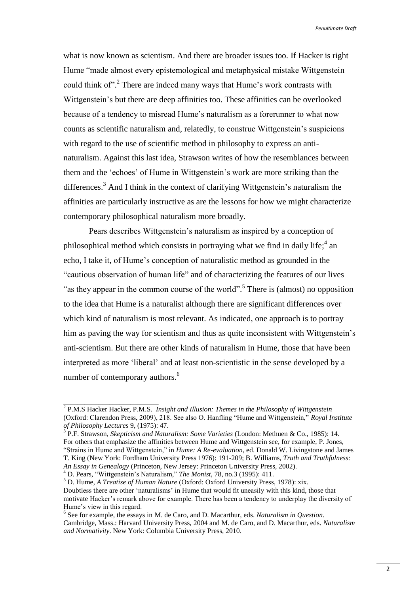what is now known as scientism. And there are broader issues too. If Hacker is right Hume "made almost every epistemological and metaphysical mistake Wittgenstein could think of".<sup>2</sup> There are indeed many ways that Hume's work contrasts with Wittgenstein's but there are deep affinities too. These affinities can be overlooked because of a tendency to misread Hume's naturalism as a forerunner to what now counts as scientific naturalism and, relatedly, to construe Wittgenstein's suspicions with regard to the use of scientific method in philosophy to express an antinaturalism. Against this last idea, Strawson writes of how the resemblances between them and the 'echoes' of Hume in Wittgenstein's work are more striking than the differences. <sup>3</sup> And I think in the context of clarifying Wittgenstein's naturalism the affinities are particularly instructive as are the lessons for how we might characterize contemporary philosophical naturalism more broadly.

Pears describes Wittgenstein's naturalism as inspired by a conception of philosophical method which consists in portraying what we find in daily life;<sup>4</sup> an echo, I take it, of Hume's conception of naturalistic method as grounded in the "cautious observation of human life" and of characterizing the features of our lives "as they appear in the common course of the world".<sup>5</sup> There is (almost) no opposition to the idea that Hume is a naturalist although there are significant differences over which kind of naturalism is most relevant. As indicated, one approach is to portray him as paving the way for scientism and thus as quite inconsistent with Wittgenstein's anti-scientism. But there are other kinds of naturalism in Hume, those that have been interpreted as more 'liberal' and at least non-scientistic in the sense developed by a number of contemporary authors.<sup>6</sup>

<sup>2</sup> P.M.S Hacker Hacker, P.M.S. *Insight and Illusion: Themes in the Philosophy of Wittgenstein* (Oxford: Clarendon Press, 2009), 218. See also O. Hanfling "Hume and Wittgenstein," *Royal Institute of Philosophy Lectures* 9, (1975): 47. 3 P.F. Strawson, *Skepticism and Naturalism: Some Varieties* (London: Methuen & Co., 1985): 14.

For others that emphasize the affinities between Hume and Wittgenstein see, for example, P. Jones, "Strains in Hume and Wittgenstein," in *Hume: A Re-evaluation*, ed. Donald W. Livingstone and James T. King (New York: Fordham University Press 1976): 191-209; B. Williams, *Truth and Truthfulness:* 

*An Essay in Genealogy* (Princeton, New Jersey: Princeton University Press, 2002).

<sup>4</sup> D. Pears, "Wittgenstein's Naturalism," *The Monist*, 78, no.3 (1995): 411.

<sup>5</sup> D. Hume, *A Treatise of Human Nature* (Oxford: Oxford University Press, 1978): xix. Doubtless there are other 'naturalisms' in Hume that would fit uneasily with this kind, those that motivate Hacker's remark above for example. There has been a tendency to underplay the diversity of Hume's view in this regard.

<sup>6</sup> See for example, the essays in M. de Caro, and D. Macarthur, eds. *Naturalism in Question*. Cambridge, Mass.: Harvard University Press, 2004 and M. de Caro, and D. Macarthur, eds. *Naturalism and Normativity*. New York: Columbia University Press, 2010.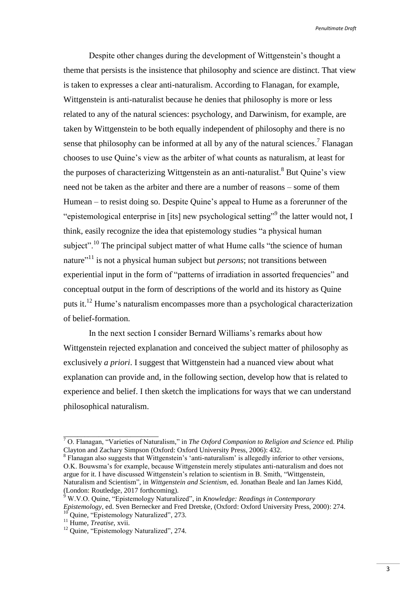Despite other changes during the development of Wittgenstein's thought a theme that persists is the insistence that philosophy and science are distinct. That view is taken to expresses a clear anti-naturalism. According to Flanagan, for example, Wittgenstein is anti-naturalist because he denies that philosophy is more or less related to any of the natural sciences: psychology, and Darwinism, for example, are taken by Wittgenstein to be both equally independent of philosophy and there is no sense that philosophy can be informed at all by any of the natural sciences.<sup>7</sup> Flanagan chooses to use Quine's view as the arbiter of what counts as naturalism, at least for the purposes of characterizing Wittgenstein as an anti-naturalist.<sup>8</sup> But Quine's view need not be taken as the arbiter and there are a number of reasons – some of them Humean – to resist doing so. Despite Quine's appeal to Hume as a forerunner of the "epistemological enterprise in [its] new psychological setting"<sup>9</sup> the latter would not, I think, easily recognize the idea that epistemology studies "a physical human subject".<sup>10</sup> The principal subject matter of what Hume calls "the science of human nature<sup>"11</sup> is not a physical human subject but *persons*; not transitions between experiential input in the form of "patterns of irradiation in assorted frequencies" and conceptual output in the form of descriptions of the world and its history as Quine puts it.<sup>12</sup> Hume's naturalism encompasses more than a psychological characterization of belief-formation.

In the next section I consider Bernard Williams's remarks about how Wittgenstein rejected explanation and conceived the subject matter of philosophy as exclusively *a priori*. I suggest that Wittgenstein had a nuanced view about what explanation can provide and, in the following section, develop how that is related to experience and belief. I then sketch the implications for ways that we can understand philosophical naturalism.

<sup>7</sup> O. Flanagan, "Varieties of Naturalism," in *The Oxford Companion to Religion and Science* ed. Philip Clayton and Zachary Simpson (Oxford: Oxford University Press, 2006): 432.

<sup>&</sup>lt;sup>8</sup> Flanagan also suggests that Wittgenstein's 'anti-naturalism' is allegedly inferior to other versions, O.K. Bouwsma's for example, because Wittgenstein merely stipulates anti-naturalism and does not argue for it. I have discussed Wittgenstein's relation to scientism in B. Smith, "Wittgenstein, Naturalism and Scientism", in *Wittgenstein and Scientism*, ed. Jonathan Beale and Ian James Kidd, (London: Routledge, 2017 forthcoming).

<sup>9</sup> W.V.O. Quine, "Epistemology Naturalized", in *Knowledge: Readings in Contemporary Epistemology*, ed. Sven Bernecker and Fred Dretske, (Oxford: Oxford University Press, 2000): 274. Quine, "Epistemology Naturalized", 273.

<sup>11</sup> Hume, *Treatise*, xvii.

<sup>&</sup>lt;sup>12</sup> Ouine, "Epistemology Naturalized", 274.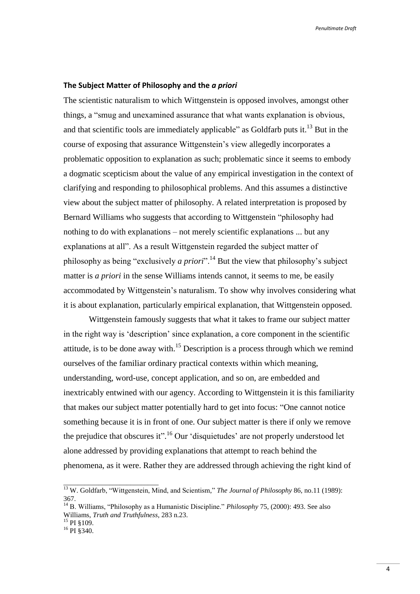### **The Subject Matter of Philosophy and the** *a priori*

The scientistic naturalism to which Wittgenstein is opposed involves, amongst other things, a "smug and unexamined assurance that what wants explanation is obvious, and that scientific tools are immediately applicable" as Goldfarb puts it. $^{13}$  But in the course of exposing that assurance Wittgenstein's view allegedly incorporates a problematic opposition to explanation as such; problematic since it seems to embody a dogmatic scepticism about the value of any empirical investigation in the context of clarifying and responding to philosophical problems. And this assumes a distinctive view about the subject matter of philosophy. A related interpretation is proposed by Bernard Williams who suggests that according to Wittgenstein "philosophy had nothing to do with explanations – not merely scientific explanations ... but any explanations at all". As a result Wittgenstein regarded the subject matter of philosophy as being "exclusively *a priori*".<sup>14</sup> But the view that philosophy's subject matter is *a priori* in the sense Williams intends cannot, it seems to me, be easily accommodated by Wittgenstein's naturalism. To show why involves considering what it is about explanation, particularly empirical explanation, that Wittgenstein opposed.

Wittgenstein famously suggests that what it takes to frame our subject matter in the right way is 'description' since explanation, a core component in the scientific attitude, is to be done away with.<sup>15</sup> Description is a process through which we remind ourselves of the familiar ordinary practical contexts within which meaning, understanding, word-use, concept application, and so on, are embedded and inextricably entwined with our agency. According to Wittgenstein it is this familiarity that makes our subject matter potentially hard to get into focus: "One cannot notice something because it is in front of one. Our subject matter is there if only we remove the prejudice that obscures it".<sup>16</sup> Our 'disquietudes' are not properly understood let alone addressed by providing explanations that attempt to reach behind the phenomena, as it were. Rather they are addressed through achieving the right kind of

<sup>&</sup>lt;sup>13</sup> W. Goldfarb, "Wittgenstein, Mind, and Scientism," *The Journal of Philosophy* 86, no.11 (1989): 367.

<sup>14</sup> B. Williams, "Philosophy as a Humanistic Discipline." *Philosophy* 75, (2000): 493. See also Williams, *Truth and Truthfulness*, 283 n.23.

<sup>&</sup>lt;sup>15</sup> PI §109.

 $^{16}$  PI  $^{8}$ 340.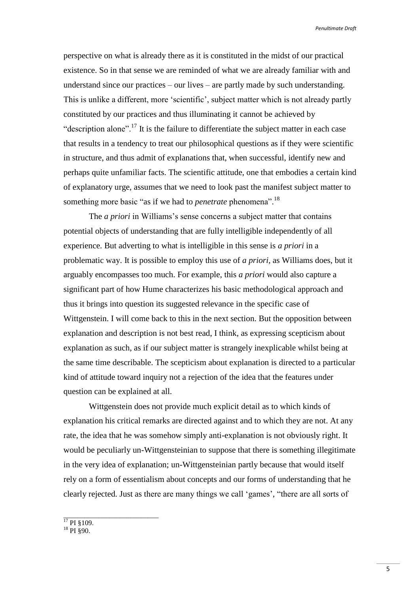perspective on what is already there as it is constituted in the midst of our practical existence. So in that sense we are reminded of what we are already familiar with and understand since our practices – our lives – are partly made by such understanding. This is unlike a different, more 'scientific', subject matter which is not already partly constituted by our practices and thus illuminating it cannot be achieved by "description alone".<sup>17</sup> It is the failure to differentiate the subject matter in each case that results in a tendency to treat our philosophical questions as if they were scientific in structure, and thus admit of explanations that, when successful, identify new and perhaps quite unfamiliar facts. The scientific attitude, one that embodies a certain kind of explanatory urge, assumes that we need to look past the manifest subject matter to something more basic "as if we had to *penetrate* phenomena".<sup>18</sup>

The *a priori* in Williams's sense concerns a subject matter that contains potential objects of understanding that are fully intelligible independently of all experience. But adverting to what is intelligible in this sense is *a priori* in a problematic way. It is possible to employ this use of *a priori*, as Williams does, but it arguably encompasses too much. For example, this *a priori* would also capture a significant part of how Hume characterizes his basic methodological approach and thus it brings into question its suggested relevance in the specific case of Wittgenstein. I will come back to this in the next section. But the opposition between explanation and description is not best read, I think, as expressing scepticism about explanation as such, as if our subject matter is strangely inexplicable whilst being at the same time describable. The scepticism about explanation is directed to a particular kind of attitude toward inquiry not a rejection of the idea that the features under question can be explained at all.

Wittgenstein does not provide much explicit detail as to which kinds of explanation his critical remarks are directed against and to which they are not. At any rate, the idea that he was somehow simply anti-explanation is not obviously right. It would be peculiarly un-Wittgensteinian to suppose that there is something illegitimate in the very idea of explanation; un-Wittgensteinian partly because that would itself rely on a form of essentialism about concepts and our forms of understanding that he clearly rejected. Just as there are many things we call 'games', "there are all sorts of

 $17$  PI  $$109$ .

 $18 \text{ pI}$   $890$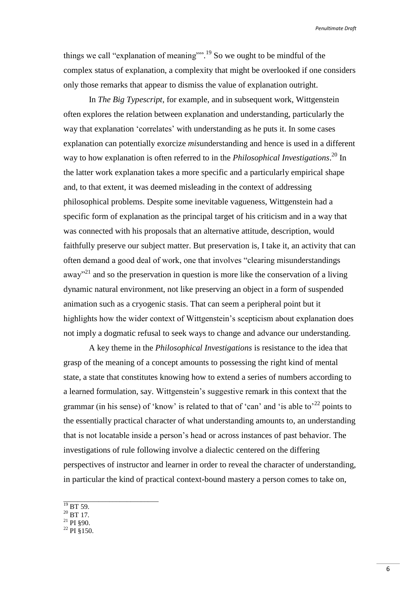things we call "explanation of meaning"".<sup>19</sup> So we ought to be mindful of the complex status of explanation, a complexity that might be overlooked if one considers only those remarks that appear to dismiss the value of explanation outright.

In *The Big Typescript*, for example, and in subsequent work, Wittgenstein often explores the relation between explanation and understanding, particularly the way that explanation 'correlates' with understanding as he puts it. In some cases explanation can potentially exorcize *mis*understanding and hence is used in a different way to how explanation is often referred to in the *Philosophical Investigations*. <sup>20</sup> In the latter work explanation takes a more specific and a particularly empirical shape and, to that extent, it was deemed misleading in the context of addressing philosophical problems. Despite some inevitable vagueness, Wittgenstein had a specific form of explanation as the principal target of his criticism and in a way that was connected with his proposals that an alternative attitude, description, would faithfully preserve our subject matter. But preservation is, I take it, an activity that can often demand a good deal of work, one that involves "clearing misunderstandings away<sup>"21</sup> and so the preservation in question is more like the conservation of a living dynamic natural environment, not like preserving an object in a form of suspended animation such as a cryogenic stasis. That can seem a peripheral point but it highlights how the wider context of Wittgenstein's scepticism about explanation does not imply a dogmatic refusal to seek ways to change and advance our understanding.

A key theme in the *Philosophical Investigations* is resistance to the idea that grasp of the meaning of a concept amounts to possessing the right kind of mental state, a state that constitutes knowing how to extend a series of numbers according to a learned formulation, say. Wittgenstein's suggestive remark in this context that the grammar (in his sense) of 'know' is related to that of 'can' and 'is able to'<sup>22</sup> points to the essentially practical character of what understanding amounts to, an understanding that is not locatable inside a person's head or across instances of past behavior. The investigations of rule following involve a dialectic centered on the differing perspectives of instructor and learner in order to reveal the character of understanding, in particular the kind of practical context-bound mastery a person comes to take on,

 $19$  BT 59.

 $^{20}$  BT 17.

 $^{21}$  PI §90.

 $^{22}$  PI  $\frac{8150}{150}$ .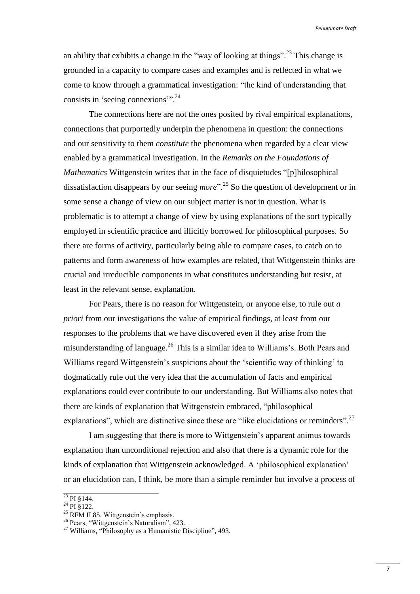an ability that exhibits a change in the "way of looking at things".<sup>23</sup> This change is grounded in a capacity to compare cases and examples and is reflected in what we come to know through a grammatical investigation: "the kind of understanding that consists in 'seeing connexions'".<sup>24</sup>

The connections here are not the ones posited by rival empirical explanations, connections that purportedly underpin the phenomena in question: the connections and our sensitivity to them *constitute* the phenomena when regarded by a clear view enabled by a grammatical investigation. In the *Remarks on the Foundations of Mathematics* Wittgenstein writes that in the face of disquietudes "[p]hilosophical dissatisfaction disappears by our seeing *more*".<sup>25</sup> So the question of development or in some sense a change of view on our subject matter is not in question. What is problematic is to attempt a change of view by using explanations of the sort typically employed in scientific practice and illicitly borrowed for philosophical purposes. So there are forms of activity, particularly being able to compare cases, to catch on to patterns and form awareness of how examples are related, that Wittgenstein thinks are crucial and irreducible components in what constitutes understanding but resist, at least in the relevant sense, explanation.

For Pears, there is no reason for Wittgenstein, or anyone else, to rule out *a priori* from our investigations the value of empirical findings, at least from our responses to the problems that we have discovered even if they arise from the misunderstanding of language.<sup>26</sup> This is a similar idea to Williams's. Both Pears and Williams regard Wittgenstein's suspicions about the 'scientific way of thinking' to dogmatically rule out the very idea that the accumulation of facts and empirical explanations could ever contribute to our understanding. But Williams also notes that there are kinds of explanation that Wittgenstein embraced, "philosophical explanations", which are distinctive since these are "like elucidations or reminders".<sup>27</sup>

I am suggesting that there is more to Wittgenstein's apparent animus towards explanation than unconditional rejection and also that there is a dynamic role for the kinds of explanation that Wittgenstein acknowledged. A 'philosophical explanation' or an elucidation can, I think, be more than a simple reminder but involve a process of

 $23$  PI  $$144$ .

<sup>24</sup> PI §122.

 $^{25}$  RFM II 85. Wittgenstein's emphasis.

 $26$  Pears, "Wittgenstein's Naturalism", 423.

 $27$  Williams, "Philosophy as a Humanistic Discipline", 493.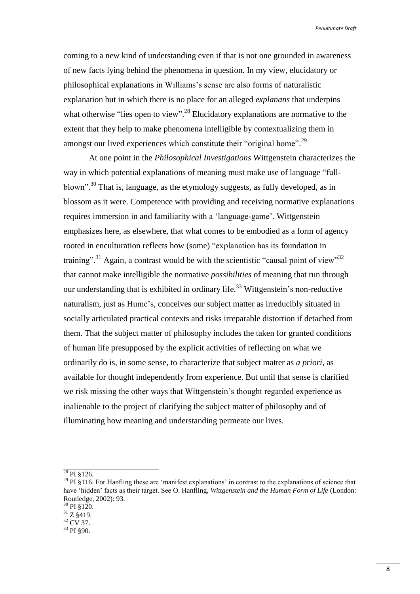coming to a new kind of understanding even if that is not one grounded in awareness of new facts lying behind the phenomena in question. In my view, elucidatory or philosophical explanations in Williams's sense are also forms of naturalistic explanation but in which there is no place for an alleged *explanans* that underpins what otherwise "lies open to view".<sup>28</sup> Elucidatory explanations are normative to the extent that they help to make phenomena intelligible by contextualizing them in amongst our lived experiences which constitute their "original home".<sup>29</sup>

At one point in the *Philosophical Investigations* Wittgenstein characterizes the way in which potential explanations of meaning must make use of language "fullblown".<sup>30</sup> That is, language, as the etymology suggests, as fully developed, as in blossom as it were. Competence with providing and receiving normative explanations requires immersion in and familiarity with a 'language-game'. Wittgenstein emphasizes here, as elsewhere, that what comes to be embodied as a form of agency rooted in enculturation reflects how (some) "explanation has its foundation in training".<sup>31</sup> Again, a contrast would be with the scientistic "causal point of view"<sup>32</sup> that cannot make intelligible the normative *possibilities* of meaning that run through our understanding that is exhibited in ordinary life.<sup>33</sup> Wittgenstein's non-reductive naturalism, just as Hume's, conceives our subject matter as irreducibly situated in socially articulated practical contexts and risks irreparable distortion if detached from them. That the subject matter of philosophy includes the taken for granted conditions of human life presupposed by the explicit activities of reflecting on what we ordinarily do is, in some sense, to characterize that subject matter as *a priori*, as available for thought independently from experience. But until that sense is clarified we risk missing the other ways that Wittgenstein's thought regarded experience as inalienable to the project of clarifying the subject matter of philosophy and of illuminating how meaning and understanding permeate our lives.

 $28$  PI  $$126$ .

<sup>&</sup>lt;sup>29</sup> PI §116. For Hanfling these are 'manifest explanations' in contrast to the explanations of science that have 'hidden' facts as their target. See O. Hanfling, *Wittgenstein and the Human Form of Life* (London: Routledge, 2002): 93.

 $30$  PI §120.

 $31$  Z §419.

 $32 \overline{\text{CV}}$  37.

 $33$  PI  $890$ .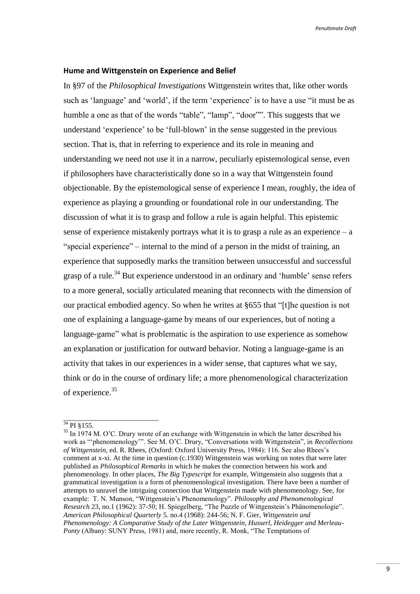## **Hume and Wittgenstein on Experience and Belief**

In §97 of the *Philosophical Investigations* Wittgenstein writes that, like other words such as 'language' and 'world', if the term 'experience' is to have a use "it must be as humble a one as that of the words "table", "lamp", "door"". This suggests that we understand 'experience' to be 'full-blown' in the sense suggested in the previous section. That is, that in referring to experience and its role in meaning and understanding we need not use it in a narrow, peculiarly epistemological sense, even if philosophers have characteristically done so in a way that Wittgenstein found objectionable. By the epistemological sense of experience I mean, roughly, the idea of experience as playing a grounding or foundational role in our understanding. The discussion of what it is to grasp and follow a rule is again helpful. This epistemic sense of experience mistakenly portrays what it is to grasp a rule as an experience  $-$  a "special experience" – internal to the mind of a person in the midst of training, an experience that supposedly marks the transition between unsuccessful and successful grasp of a rule.<sup>34</sup> But experience understood in an ordinary and 'humble' sense refers to a more general, socially articulated meaning that reconnects with the dimension of our practical embodied agency. So when he writes at §655 that "[t]he question is not one of explaining a language-game by means of our experiences, but of noting a language-game" what is problematic is the aspiration to use experience as somehow an explanation or justification for outward behavior. Noting a language-game is an activity that takes in our experiences in a wider sense, that captures what we say, think or do in the course of ordinary life; a more phenomenological characterization of experience. 35

 $34$  PI §155.

<sup>&</sup>lt;sup>35</sup> In 1974 M. O'C. Drury wrote of an exchange with Wittgenstein in which the latter described his work as "'phenomenology'". See M. O'C. Drury, "Conversations with Wittgenstein", in *Recollections of Wittgenstein,* ed. R. Rhees, (Oxford: Oxford University Press, 1984): 116. See also Rhees's comment at x-xi. At the time in question (c.1930) Wittgenstein was working on notes that were later published as *Philosophical Remarks* in which he makes the connection between his work and phenomenology. In other places, *The Big Typescript* for example, Wittgenstein also suggests that a grammatical investigation is a form of phenomenological investigation. There have been a number of attempts to unravel the intriguing connection that Wittgenstein made with phenomenology. See, for example: T. N. Munson, "Wittgenstein's Phenomenology". *Philosophy and Phenomenological Research* 23, no.1 (1962): 37-50; H. Spiegelberg, "The Puzzle of Wittgenstein's Phänomenologie". *American Philosophical Quarterly* 5. no.4 (1968): 244-56; N. F. Gier, *Wittgenstein and Phenomenology: A Comparative Study of the Later Wittgenstein, Husserl, Heidegger and Merleau-Ponty* (Albany: SUNY Press, 1981) and, more recently, R. Monk, "The Temptations of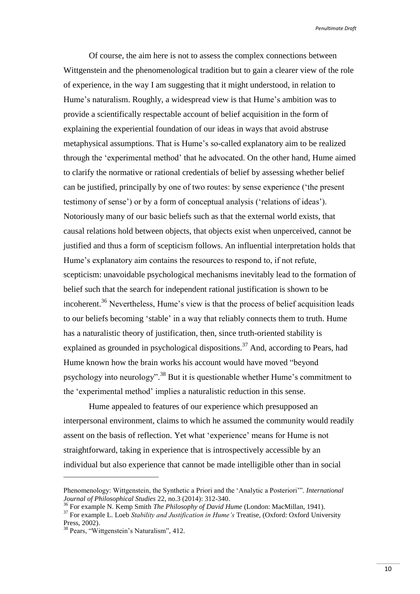Of course, the aim here is not to assess the complex connections between Wittgenstein and the phenomenological tradition but to gain a clearer view of the role of experience, in the way I am suggesting that it might understood, in relation to Hume's naturalism. Roughly, a widespread view is that Hume's ambition was to provide a scientifically respectable account of belief acquisition in the form of explaining the experiential foundation of our ideas in ways that avoid abstruse metaphysical assumptions. That is Hume's so-called explanatory aim to be realized through the 'experimental method' that he advocated. On the other hand, Hume aimed to clarify the normative or rational credentials of belief by assessing whether belief can be justified, principally by one of two routes: by sense experience ('the present testimony of sense') or by a form of conceptual analysis ('relations of ideas'). Notoriously many of our basic beliefs such as that the external world exists, that causal relations hold between objects, that objects exist when unperceived, cannot be justified and thus a form of scepticism follows. An influential interpretation holds that Hume's explanatory aim contains the resources to respond to, if not refute, scepticism: unavoidable psychological mechanisms inevitably lead to the formation of belief such that the search for independent rational justification is shown to be incoherent.<sup>36</sup> Nevertheless, Hume's view is that the process of belief acquisition leads to our beliefs becoming 'stable' in a way that reliably connects them to truth. Hume has a naturalistic theory of justification, then, since truth-oriented stability is explained as grounded in psychological dispositions.<sup>37</sup> And, according to Pears, had Hume known how the brain works his account would have moved "beyond psychology into neurology".<sup>38</sup> But it is questionable whether Hume's commitment to the 'experimental method' implies a naturalistic reduction in this sense.

Hume appealed to features of our experience which presupposed an interpersonal environment, claims to which he assumed the community would readily assent on the basis of reflection. Yet what 'experience' means for Hume is not straightforward, taking in experience that is introspectively accessible by an individual but also experience that cannot be made intelligible other than in social

Phenomenology: Wittgenstein, the Synthetic a Priori and the 'Analytic a Posteriori'". *International Journal of Philosophical Studies* 22, no.3 (2014): 312-340.

<sup>36</sup> For example N. Kemp Smith *The Philosophy of David Hume* (London: MacMillan, 1941).

<sup>&</sup>lt;sup>37</sup> For example L. Loeb *Stability and Justification in Hume's* Treatise, (Oxford: Oxford University Press, 2002).

<sup>&</sup>lt;sup>38</sup> Pears, "Wittgenstein's Naturalism", 412.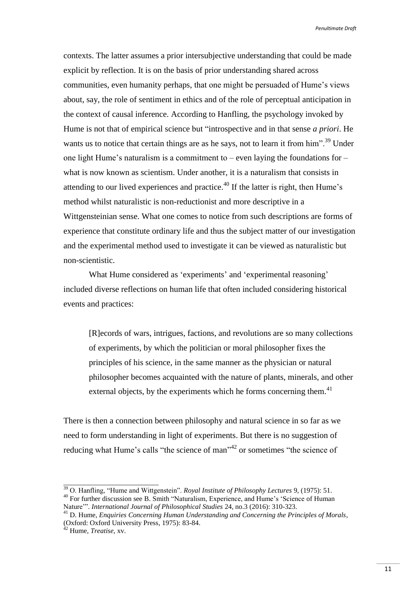contexts. The latter assumes a prior intersubjective understanding that could be made explicit by reflection. It is on the basis of prior understanding shared across communities, even humanity perhaps, that one might be persuaded of Hume's views about, say, the role of sentiment in ethics and of the role of perceptual anticipation in the context of causal inference. According to Hanfling, the psychology invoked by Hume is not that of empirical science but "introspective and in that sense *a priori*. He wants us to notice that certain things are as he says, not to learn it from him".<sup>39</sup> Under one light Hume's naturalism is a commitment to – even laying the foundations for – what is now known as scientism. Under another, it is a naturalism that consists in attending to our lived experiences and practice. $40$  If the latter is right, then Hume's method whilst naturalistic is non-reductionist and more descriptive in a Wittgensteinian sense. What one comes to notice from such descriptions are forms of experience that constitute ordinary life and thus the subject matter of our investigation and the experimental method used to investigate it can be viewed as naturalistic but non-scientistic.

What Hume considered as 'experiments' and 'experimental reasoning' included diverse reflections on human life that often included considering historical events and practices:

[R]ecords of wars, intrigues, factions, and revolutions are so many collections of experiments, by which the politician or moral philosopher fixes the principles of his science, in the same manner as the physician or natural philosopher becomes acquainted with the nature of plants, minerals, and other external objects, by the experiments which he forms concerning them.<sup>41</sup>

There is then a connection between philosophy and natural science in so far as we need to form understanding in light of experiments. But there is no suggestion of reducing what Hume's calls "the science of man"<sup>42</sup> or sometimes "the science of

<sup>39</sup> O. Hanfling, "Hume and Wittgenstein". *Royal Institute of Philosophy Lectures* 9, (1975): 51. <sup>40</sup> For further discussion see B. Smith "Naturalism, Experience, and Hume's 'Science of Human Nature'". *International Journal of Philosophical Studies* 24, no.3 (2016): 310-323.

<sup>41</sup> D. Hume, *Enquiries Concerning Human Understanding and Concerning the Principles of Morals*, (Oxford: Oxford University Press, 1975): 83-84.

<sup>42</sup> Hume, *Treatise*, xv.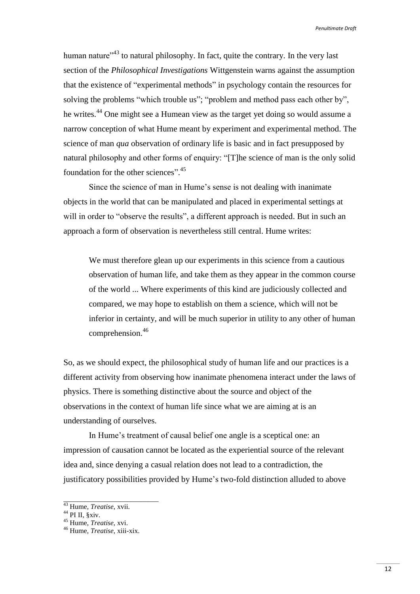human nature $143}$  to natural philosophy. In fact, quite the contrary. In the very last section of the *Philosophical Investigations* Wittgenstein warns against the assumption that the existence of "experimental methods" in psychology contain the resources for solving the problems "which trouble us"; "problem and method pass each other by", he writes.<sup>44</sup> One might see a Humean view as the target yet doing so would assume a narrow conception of what Hume meant by experiment and experimental method. The science of man *qua* observation of ordinary life is basic and in fact presupposed by natural philosophy and other forms of enquiry: "[T]he science of man is the only solid foundation for the other sciences".<sup>45</sup>

Since the science of man in Hume's sense is not dealing with inanimate objects in the world that can be manipulated and placed in experimental settings at will in order to "observe the results", a different approach is needed. But in such an approach a form of observation is nevertheless still central. Hume writes:

We must therefore glean up our experiments in this science from a cautious observation of human life, and take them as they appear in the common course of the world ... Where experiments of this kind are judiciously collected and compared, we may hope to establish on them a science, which will not be inferior in certainty, and will be much superior in utility to any other of human comprehension.<sup>46</sup>

So, as we should expect, the philosophical study of human life and our practices is a different activity from observing how inanimate phenomena interact under the laws of physics. There is something distinctive about the source and object of the observations in the context of human life since what we are aiming at is an understanding of ourselves.

In Hume's treatment of causal belief one angle is a sceptical one: an impression of causation cannot be located as the experiential source of the relevant idea and, since denying a casual relation does not lead to a contradiction, the justificatory possibilities provided by Hume's two-fold distinction alluded to above

<sup>43</sup> Hume, *Treatise*, xvii.

<sup>&</sup>lt;sup>44</sup> PI II, §xiv.

<sup>45</sup> Hume, *Treatise*, xvi.

<sup>46</sup> Hume, *Treatise*, xiii-xix.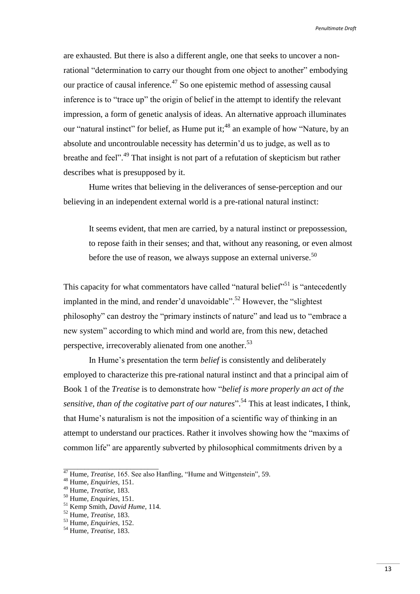are exhausted. But there is also a different angle, one that seeks to uncover a nonrational "determination to carry our thought from one object to another" embodying our practice of causal inference.<sup>47</sup> So one epistemic method of assessing causal inference is to "trace up" the origin of belief in the attempt to identify the relevant impression, a form of genetic analysis of ideas. An alternative approach illuminates our "natural instinct" for belief, as Hume put it;<sup>48</sup> an example of how "Nature, by an absolute and uncontroulable necessity has determin'd us to judge, as well as to breathe and feel". <sup>49</sup> That insight is not part of a refutation of skepticism but rather describes what is presupposed by it.

Hume writes that believing in the deliverances of sense-perception and our believing in an independent external world is a pre-rational natural instinct:

It seems evident, that men are carried, by a natural instinct or prepossession, to repose faith in their senses; and that, without any reasoning, or even almost before the use of reason, we always suppose an external universe.<sup>50</sup>

This capacity for what commentators have called "natural belief"<sup>51</sup> is "antecedently" implanted in the mind, and render'd unavoidable".<sup>52</sup> However, the "slightest philosophy" can destroy the "primary instincts of nature" and lead us to "embrace a new system" according to which mind and world are, from this new, detached perspective, irrecoverably alienated from one another.<sup>53</sup>

In Hume's presentation the term *belief* is consistently and deliberately employed to characterize this pre-rational natural instinct and that a principal aim of Book 1 of the *Treatise* is to demonstrate how "*belief is more properly an act of the sensitive, than of the cogitative part of our natures*". <sup>54</sup> This at least indicates, I think, that Hume's naturalism is not the imposition of a scientific way of thinking in an attempt to understand our practices. Rather it involves showing how the "maxims of common life" are apparently subverted by philosophical commitments driven by a

<sup>&</sup>lt;sup>47</sup> Hume, *Treatise*, 165. See also Hanfling, "Hume and Wittgenstein", 59.

<sup>48</sup> Hume, *Enquiries*, 151.

<sup>49</sup> Hume, *Treatise*, 183.

<sup>50</sup> Hume, *Enquiries*, 151.

<sup>51</sup> Kemp Smith, *David Hume*, 114.

<sup>52</sup> Hume, *Treatise*, 183.

<sup>53</sup> Hume, *Enquiries*, 152.

<sup>54</sup> Hume, *Treatise*, 183.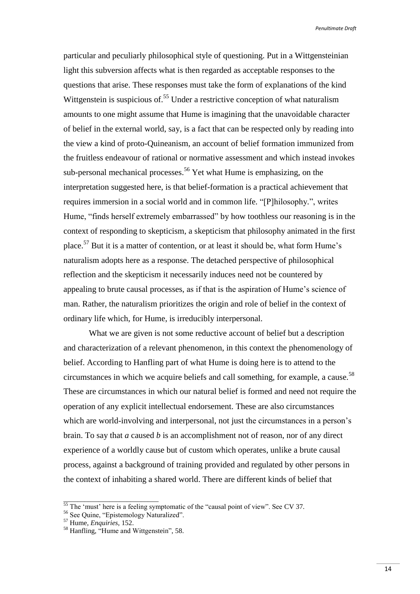particular and peculiarly philosophical style of questioning. Put in a Wittgensteinian light this subversion affects what is then regarded as acceptable responses to the questions that arise. These responses must take the form of explanations of the kind Wittgenstein is suspicious of.<sup>55</sup> Under a restrictive conception of what naturalism amounts to one might assume that Hume is imagining that the unavoidable character of belief in the external world, say, is a fact that can be respected only by reading into the view a kind of proto-Quineanism, an account of belief formation immunized from the fruitless endeavour of rational or normative assessment and which instead invokes sub-personal mechanical processes.<sup>56</sup> Yet what Hume is emphasizing, on the interpretation suggested here, is that belief-formation is a practical achievement that requires immersion in a social world and in common life. "[P]hilosophy.", writes Hume, "finds herself extremely embarrassed" by how toothless our reasoning is in the context of responding to skepticism, a skepticism that philosophy animated in the first place.<sup>57</sup> But it is a matter of contention, or at least it should be, what form Hume's naturalism adopts here as a response. The detached perspective of philosophical reflection and the skepticism it necessarily induces need not be countered by appealing to brute causal processes, as if that is the aspiration of Hume's science of man. Rather, the naturalism prioritizes the origin and role of belief in the context of ordinary life which, for Hume, is irreducibly interpersonal.

What we are given is not some reductive account of belief but a description and characterization of a relevant phenomenon, in this context the phenomenology of belief. According to Hanfling part of what Hume is doing here is to attend to the circumstances in which we acquire beliefs and call something, for example, a cause. 58 These are circumstances in which our natural belief is formed and need not require the operation of any explicit intellectual endorsement. These are also circumstances which are world-involving and interpersonal, not just the circumstances in a person's brain. To say that *a* caused *b* is an accomplishment not of reason, nor of any direct experience of a worldly cause but of custom which operates, unlike a brute causal process, against a background of training provided and regulated by other persons in the context of inhabiting a shared world. There are different kinds of belief that

 $55$  The 'must' here is a feeling symptomatic of the "causal point of view". See CV 37.

<sup>56</sup> See Quine, "Epistemology Naturalized".

<sup>57</sup> Hume, *Enquiries*, 152.

<sup>&</sup>lt;sup>58</sup> Hanfling, "Hume and Wittgenstein", 58.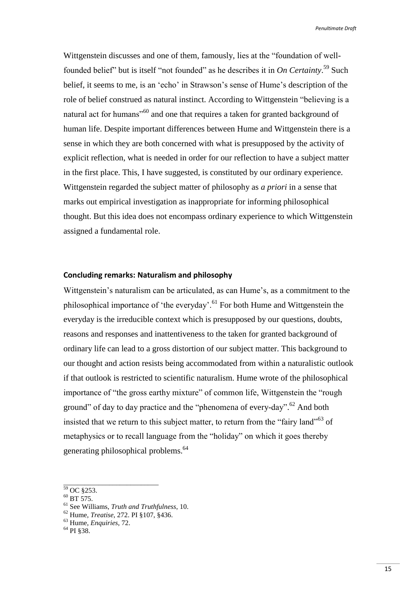Wittgenstein discusses and one of them, famously, lies at the "foundation of wellfounded belief" but is itself "not founded" as he describes it in *On Certainty*. <sup>59</sup> Such belief, it seems to me, is an 'echo' in Strawson's sense of Hume's description of the role of belief construed as natural instinct. According to Wittgenstein "believing is a natural act for humans<sup>"60</sup> and one that requires a taken for granted background of human life. Despite important differences between Hume and Wittgenstein there is a sense in which they are both concerned with what is presupposed by the activity of explicit reflection, what is needed in order for our reflection to have a subject matter in the first place. This, I have suggested, is constituted by our ordinary experience. Wittgenstein regarded the subject matter of philosophy as *a priori* in a sense that marks out empirical investigation as inappropriate for informing philosophical thought. But this idea does not encompass ordinary experience to which Wittgenstein assigned a fundamental role.

### **Concluding remarks: Naturalism and philosophy**

Wittgenstein's naturalism can be articulated, as can Hume's, as a commitment to the philosophical importance of 'the everyday'.<sup>61</sup> For both Hume and Wittgenstein the everyday is the irreducible context which is presupposed by our questions, doubts, reasons and responses and inattentiveness to the taken for granted background of ordinary life can lead to a gross distortion of our subject matter. This background to our thought and action resists being accommodated from within a naturalistic outlook if that outlook is restricted to scientific naturalism. Hume wrote of the philosophical importance of "the gross earthy mixture" of common life, Wittgenstein the "rough ground" of day to day practice and the "phenomena of every-day".<sup>62</sup> And both insisted that we return to this subject matter, to return from the "fairy land"<sup>63</sup> of metaphysics or to recall language from the "holiday" on which it goes thereby generating philosophical problems.<sup>64</sup>

 $59$  OC  $$253$ .

 $60$  BT 575.

<sup>61</sup> See Williams, *Truth and Truthfulness*, 10.

<sup>62</sup> Hume, *Treatise*, 272. PI §107, §436.

<sup>63</sup> Hume, *Enquiries*, 72.

<sup>64</sup> PI §38.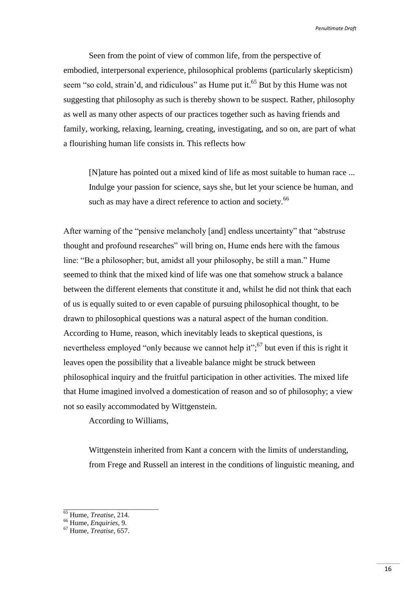Seen from the point of view of common life, from the perspective of embodied, interpersonal experience, philosophical problems (particularly skepticism) seem "so cold, strain'd, and ridiculous" as Hume put it.<sup>65</sup> But by this Hume was not suggesting that philosophy as such is thereby shown to be suspect. Rather, philosophy as well as many other aspects of our practices together such as having friends and family, working, relaxing, learning, creating, investigating, and so on, are part of what a flourishing human life consists in. This reflects how

[N]ature has pointed out a mixed kind of life as most suitable to human race ... Indulge your passion for science, says she, but let your science be human, and such as may have a direct reference to action and society.<sup>66</sup>

After warning of the "pensive melancholy [and] endless uncertainty" that "abstruse thought and profound researches" will bring on, Hume ends here with the famous line: "Be a philosopher; but, amidst all your philosophy, be still a man." Hume seemed to think that the mixed kind of life was one that somehow struck a balance between the different elements that constitute it and, whilst he did not think that each of us is equally suited to or even capable of pursuing philosophical thought, to be drawn to philosophical questions was a natural aspect of the human condition. According to Hume, reason, which inevitably leads to skeptical questions, is nevertheless employed "only because we cannot help it";<sup>67</sup> but even if this is right it leaves open the possibility that a liveable balance might be struck between philosophical inquiry and the fruitful participation in other activities. The mixed life that Hume imagined involved a domestication of reason and so of philosophy; a view not so easily accommodated by Wittgenstein.

According to Williams,

Wittgenstein inherited from Kant a concern with the limits of understanding, from Frege and Russell an interest in the conditions of linguistic meaning, and

<sup>65</sup> Hume, *Treatise*, 214.

<sup>66</sup> Hume, *Enquiries*, 9.

<sup>67</sup> Hume, *Treatise*, 657.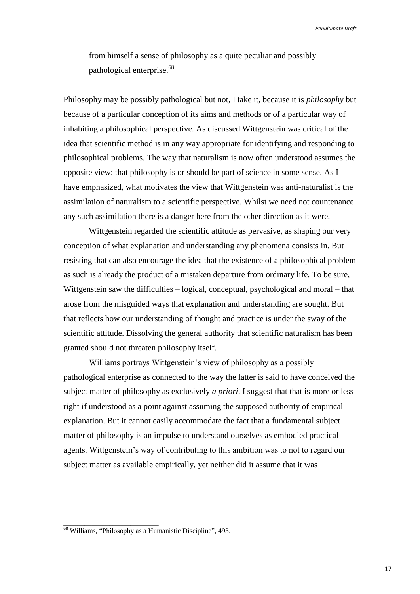from himself a sense of philosophy as a quite peculiar and possibly pathological enterprise. 68

Philosophy may be possibly pathological but not, I take it, because it is *philosophy* but because of a particular conception of its aims and methods or of a particular way of inhabiting a philosophical perspective. As discussed Wittgenstein was critical of the idea that scientific method is in any way appropriate for identifying and responding to philosophical problems. The way that naturalism is now often understood assumes the opposite view: that philosophy is or should be part of science in some sense. As I have emphasized, what motivates the view that Wittgenstein was anti-naturalist is the assimilation of naturalism to a scientific perspective. Whilst we need not countenance any such assimilation there is a danger here from the other direction as it were.

Wittgenstein regarded the scientific attitude as pervasive, as shaping our very conception of what explanation and understanding any phenomena consists in. But resisting that can also encourage the idea that the existence of a philosophical problem as such is already the product of a mistaken departure from ordinary life. To be sure, Wittgenstein saw the difficulties – logical, conceptual, psychological and moral – that arose from the misguided ways that explanation and understanding are sought. But that reflects how our understanding of thought and practice is under the sway of the scientific attitude. Dissolving the general authority that scientific naturalism has been granted should not threaten philosophy itself.

Williams portrays Wittgenstein's view of philosophy as a possibly pathological enterprise as connected to the way the latter is said to have conceived the subject matter of philosophy as exclusively *a priori*. I suggest that that is more or less right if understood as a point against assuming the supposed authority of empirical explanation. But it cannot easily accommodate the fact that a fundamental subject matter of philosophy is an impulse to understand ourselves as embodied practical agents. Wittgenstein's way of contributing to this ambition was to not to regard our subject matter as available empirically, yet neither did it assume that it was

<sup>68</sup> Williams, "Philosophy as a Humanistic Discipline", 493.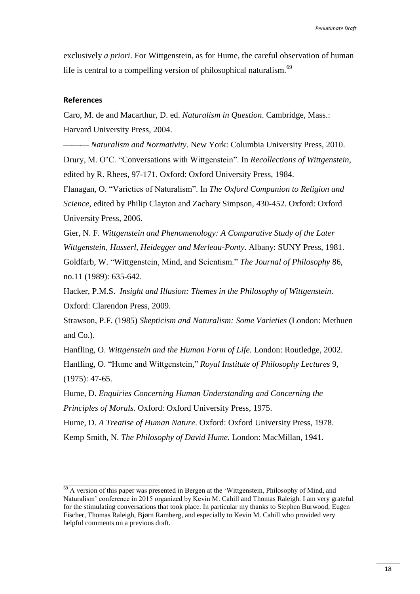exclusively *a priori*. For Wittgenstein, as for Hume, the careful observation of human life is central to a compelling version of philosophical naturalism. $69$ 

### **References**

Caro, M. de and Macarthur, D. ed. *Naturalism in Question*. Cambridge, Mass.: Harvard University Press, 2004.

 *Naturalism and Normativity*. New York: Columbia University Press, 2010. Drury, M. O'C. "Conversations with Wittgenstein". In *Recollections of Wittgenstein,* edited by R. Rhees, 97-171. Oxford: Oxford University Press, 1984.

Flanagan, O. "Varieties of Naturalism". In *The Oxford Companion to Religion and Science*, edited by Philip Clayton and Zachary Simpson, 430-452. Oxford: Oxford University Press, 2006.

Gier, N. F. *Wittgenstein and Phenomenology: A Comparative Study of the Later Wittgenstein, Husserl, Heidegger and Merleau-Ponty*. Albany: SUNY Press, 1981.

Goldfarb, W. "Wittgenstein, Mind, and Scientism." *The Journal of Philosophy* 86, no.11 (1989): 635-642.

Hacker, P.M.S. *Insight and Illusion: Themes in the Philosophy of Wittgenstein*. Oxford: Clarendon Press, 2009.

Strawson, P.F. (1985) *Skepticism and Naturalism: Some Varieties* (London: Methuen and Co.).

Hanfling, O. *Wittgenstein and the Human Form of Life.* London: Routledge, 2002.

Hanfling, O. "Hume and Wittgenstein," *Royal Institute of Philosophy Lectures* 9, (1975): 47-65.

Hume, D. *Enquiries Concerning Human Understanding and Concerning the* 

*Principles of Morals.* Oxford: Oxford University Press, 1975.

\_\_\_\_\_\_\_\_\_\_\_\_\_\_\_\_\_\_\_\_\_\_\_\_\_\_\_

Hume, D. *A Treatise of Human Nature*. Oxford: Oxford University Press, 1978.

Kemp Smith, N. *The Philosophy of David Hume.* London: MacMillan, 1941.

 $69$  A version of this paper was presented in Bergen at the 'Wittgenstein, Philosophy of Mind, and Naturalism' conference in 2015 organized by Kevin M. Cahill and Thomas Raleigh. I am very grateful for the stimulating conversations that took place. In particular my thanks to Stephen Burwood, Eugen Fischer, Thomas Raleigh, Bjørn Ramberg, and especially to Kevin M. Cahill who provided very helpful comments on a previous draft.